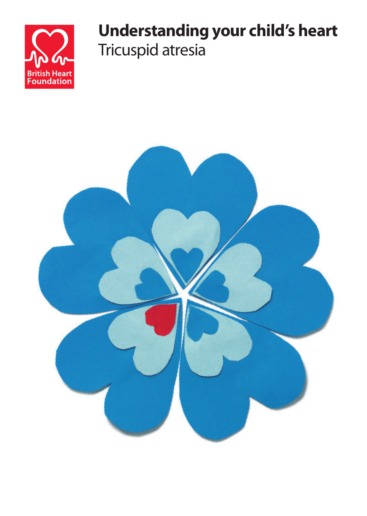

# **Understanding your child's heart** Tricuspid atresia

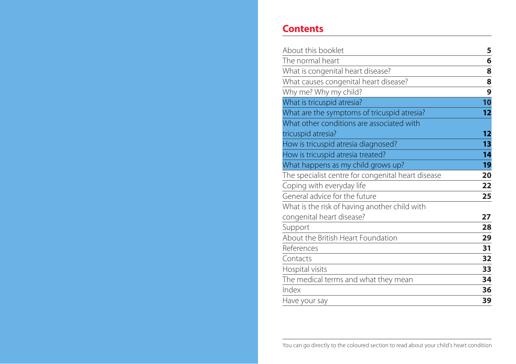## **Contents**

| About this booklet                                 | 5  |
|----------------------------------------------------|----|
| The normal heart                                   | 6  |
| What is congenital heart disease?                  | 8  |
| What causes congenital heart disease?              | 8  |
| Why me? Why my child?                              | 9  |
| What is tricuspid atresia?                         | 10 |
| What are the symptoms of tricuspid atresia?        | 12 |
| What other conditions are associated with          |    |
| tricuspid atresia?                                 | 12 |
| How is tricuspid atresia diagnosed?                | 13 |
| How is tricuspid atresia treated?                  | 14 |
| What happens as my child grows up?                 | 19 |
| The specialist centre for congenital heart disease | 20 |
| Coping with everyday life                          | 22 |
| General advice for the future                      | 25 |
| What is the risk of having another child with      |    |
| congenital heart disease?                          | 27 |
| Support                                            | 28 |
| About the British Heart Foundation                 | 29 |
| References                                         | 31 |
| Contacts                                           | 32 |
| Hospital visits                                    | 33 |
| The medical terms and what they mean               | 34 |
| Index                                              | 36 |
| Have your say                                      | 39 |

You can go directly to the coloured section to read about your child's heart condition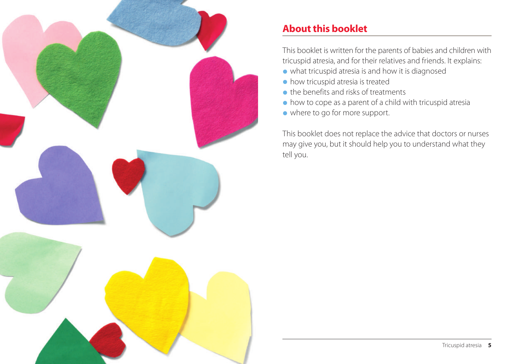

# **About this booklet**

This booklet is written for the parents of babies and children with tricuspid atresia, and for their relatives and friends. It explains:

- **•** what tricuspid atresia is and how it is diagnosed
- **•** how tricuspid atresia is treated
- **•**the benefits and risks of treatments
- **•** how to cope as a parent of a child with tricuspid atresia
- **•** where to go for more support.

This booklet does not replace the advice that doctors or nurses may give you, but it should help you to understand what they tell you.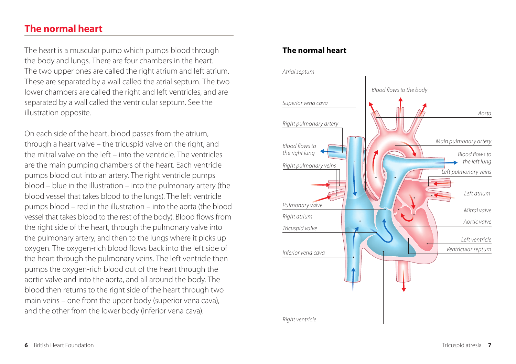## **The normal heart**

The heart is a muscular pump which pumps blood through the body and lungs. There are four chambers in the heart. The two upper ones are called the right atrium and left atrium. These are separated by a wall called the atrial septum. The two lower chambers are called the right and left ventricles, and are separated by a wall called the ventricular septum. See the illustration opposite.

On each side of the heart, blood passes from the atrium, through a heart valve – the tricuspid valve on the right, and the mitral valve on the left – into the ventricle. The ventricles are the main pumping chambers of the heart. Each ventricle pumps blood out into an artery. The right ventricle pumps blood – blue in the illustration – into the pulmonary artery (the blood vessel that takes blood to the lungs). The left ventricle pumps blood – red in the illustration – into the aorta (the blood vessel that takes blood to the rest of the body). Blood flows from the right side of the heart, through the pulmonary valve into the pulmonary artery, and then to the lungs where it picks up oxygen. The oxygen-rich blood flows back into the left side of the heart through the pulmonary veins. The left ventricle then pumps the oxygen-rich blood out of the heart through the aortic valve and into the aorta, and all around the body. The blood then returns to the right side of the heart through two main veins – one from the upper body (superior vena cava), and the other from the lower body (inferior vena cava).

## **The normal heart**

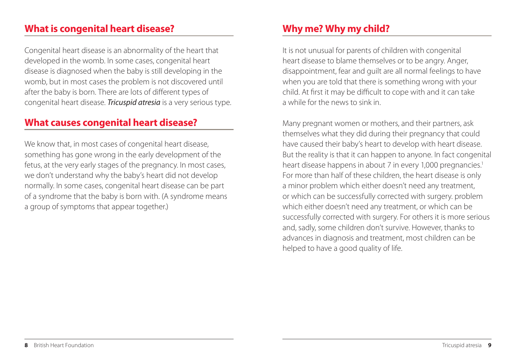## **What is congenital heart disease?**

Congenital heart disease is an abnormality of the heart that developed in the womb. In some cases, congenital heart disease is diagnosed when the baby is still developing in the womb, but in most cases the problem is not discovered until after the baby is born. There are lots of different types of congenital heart disease. *Tricuspid atresia* is a very serious type.

## **What causes congenital heart disease?**

We know that, in most cases of congenital heart disease, something has gone wrong in the early development of the fetus, at the very early stages of the pregnancy. In most cases, we don't understand why the baby's heart did not develop normally. In some cases, congenital heart disease can be part of a syndrome that the baby is born with. (A syndrome means a group of symptoms that appear together.)

# **Why me? Why my child?**

It is not unusual for parents of children with congenital heart disease to blame themselves or to be angry. Anger, disappointment, fear and guilt are all normal feelings to have when you are told that there is something wrong with your child. At first it may be difficult to cope with and it can take a while for the news to sink in.

Many pregnant women or mothers, and their partners, ask themselves what they did during their pregnancy that could have caused their baby's heart to develop with heart disease. But the reality is that it can happen to anyone. In fact congenital heart disease happens in about 7 in every 1,000 pregnancies.<sup>1</sup> For more than half of these children, the heart disease is only a minor problem which either doesn't need any treatment, or which can be successfully corrected with surgery. problem which either doesn't need any treatment, or which can be successfully corrected with surgery. For others it is more serious and, sadly, some children don't survive. However, thanks to advances in diagnosis and treatment, most children can be helped to have a good quality of life.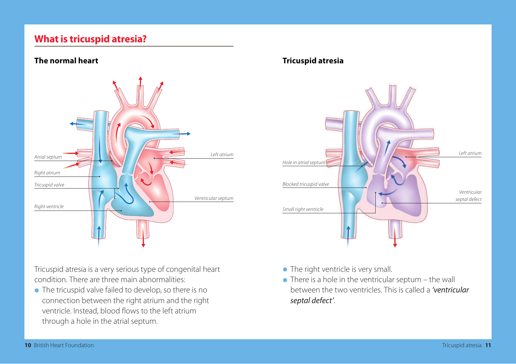## **What is tricuspid atresia?**

#### **The normal heart**



Tricuspid atresia is a very serious type of congenital heart condition. There are three main abnormalities:

**•** The tricuspid valve failed to develop, so there is no connection between the right atrium and the right ventricle. Instead, blood flows to the left atrium through a hole in the atrial septum.

#### **Tricuspid atresia**



- **•** The right ventricle is very small.
- **•** There is a hole in the ventricular septum the wall between the two ventricles. This is called a *'ventricular septal defect'*.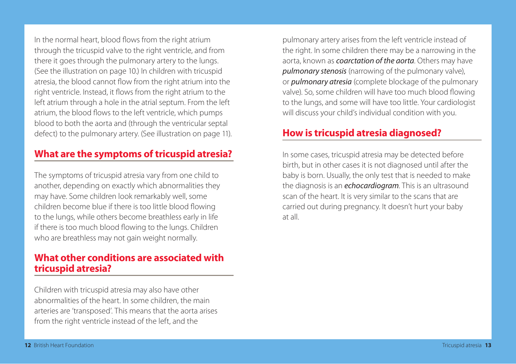In the normal heart, blood flows from the right atrium through the tricuspid valve to the right ventricle, and from there it goes through the pulmonary artery to the lungs. (See the illustration on page 10.) In children with tricuspid atresia, the blood cannot flow from the right atrium into the right ventricle. Instead, it flows from the right atrium to the left atrium through a hole in the atrial septum. From the left atrium, the blood flows to the left ventricle, which pumps blood to both the aorta and (through the ventricular septal defect) to the pulmonary artery. (See illustration on page 11).

## **What are the symptoms of tricuspid atresia?**

The symptoms of tricuspid atresia vary from one child to another, depending on exactly which abnormalities they may have. Some children look remarkably well, some children become blue if there is too little blood flowing to the lungs, while others become breathless early in life if there is too much blood flowing to the lungs. Children who are breathless may not gain weight normally.

## **What other conditions are associated with tricuspid atresia?**

Children with tricuspid atresia may also have other abnormalities of the heart. In some children, the main arteries are 'transposed'. This means that the aorta arises from the right ventricle instead of the left, and the

pulmonary artery arises from the left ventricle instead of the right. In some children there may be a narrowing in the aorta, known as *coarctation of the aorta*. Others may have *pulmonary stenosis* (narrowing of the pulmonary valve), or *pulmonary atresia* (complete blockage of the pulmonary valve). So, some children will have too much blood flowing to the lungs, and some will have too little. Your cardiologist will discuss your child's individual condition with you.

## **How is tricuspid atresia diagnosed?**

In some cases, tricuspid atresia may be detected before birth, but in other cases it is not diagnosed until after the baby is born. Usually, the only test that is needed to make the diagnosis is an *echocardiogram*. This is an ultrasound scan of the heart. It is very similar to the scans that are carried out during pregnancy. It doesn't hurt your baby at all.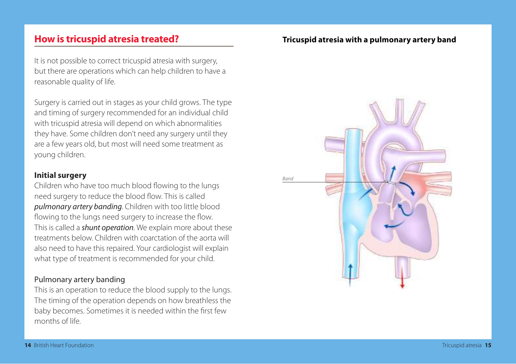## **How is tricuspid atresia treated?**

It is not possible to correct tricuspid atresia with surgery, but there are operations which can help children to have a reasonable quality of life.

Surgery is carried out in stages as your child grows. The type and timing of surgery recommended for an individual child with tricuspid atresia will depend on which abnormalities they have. Some children don't need any surgery until they are a few years old, but most will need some treatment as young children.

#### **Initial surgery**

Children who have too much blood flowing to the lungs need surgery to reduce the blood flow. This is called *pulmonary artery banding*. Children with too little blood flowing to the lungs need surgery to increase the flow. This is called a *shunt operation*. We explain more about these treatments below. Children with coarctation of the aorta will also need to have this repaired. Your cardiologist will explain what type of treatment is recommended for your child.

#### Pulmonary artery banding

This is an operation to reduce the blood supply to the lungs. The timing of the operation depends on how breathless the baby becomes. Sometimes it is needed within the first few months of life.

#### **Tricuspid atresia with a pulmonary artery band**

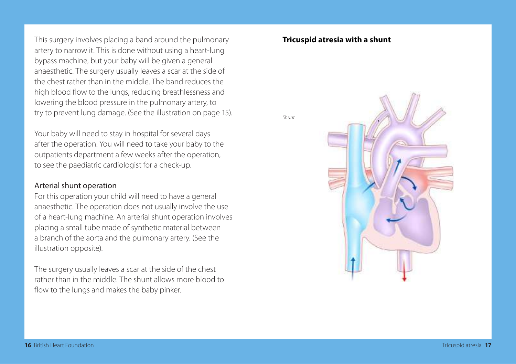This surgery involves placing a band around the pulmonary artery to narrow it. This is done without using a heart-lung bypass machine, but your baby will be given a general anaesthetic. The surgery usually leaves a scar at the side of the chest rather than in the middle. The band reduces the high blood flow to the lungs, reducing breathlessness and lowering the blood pressure in the pulmonary artery, to try to prevent lung damage. (See the illustration on page 15).

Your baby will need to stay in hospital for several days after the operation. You will need to take your baby to the outpatients department a few weeks after the operation, to see the paediatric cardiologist for a check-up.

#### Arterial shunt operation

For this operation your child will need to have a general anaesthetic. The operation does not usually involve the use of a heart-lung machine. An arterial shunt operation involves placing a small tube made of synthetic material between a branch of the aorta and the pulmonary artery. (See the illustration opposite).

The surgery usually leaves a scar at the side of the chest rather than in the middle. The shunt allows more blood to flow to the lungs and makes the baby pinker.

#### **Tricuspid atresia with a shunt**

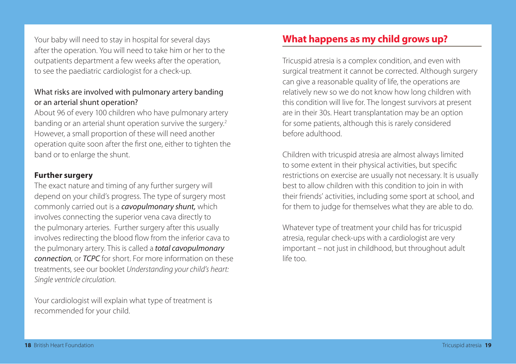Your baby will need to stay in hospital for several days after the operation. You will need to take him or her to the outpatients department a few weeks after the operation, to see the paediatric cardiologist for a check-up.

#### What risks are involved with pulmonary artery banding or an arterial shunt operation?

About 96 of every 100 children who have pulmonary artery banding or an arterial shunt operation survive the surgery.<sup>2</sup> However, a small proportion of these will need another operation quite soon after the first one, either to tighten the band or to enlarge the shunt.

#### **Further surgery**

The exact nature and timing of any further surgery will depend on your child's progress. The type of surgery most commonly carried out is a *cavopulmonary shunt,* which involves connecting the superior vena cava directly to the pulmonary arteries. Further surgery after this usually involves redirecting the blood flow from the inferior cava to the pulmonary artery. This is called a *total cavopulmonary connection*, or *TCPC* for short. For more information on these treatments, see our booklet *Understanding your child's heart: Single ventricle circulation*.

Your cardiologist will explain what type of treatment is recommended for your child.

# **What happens as my child grows up?**

Tricuspid atresia is a complex condition, and even with surgical treatment it cannot be corrected. Although surgery can give a reasonable quality of life, the operations are relatively new so we do not know how long children with this condition will live for. The longest survivors at present are in their 30s. Heart transplantation may be an option for some patients, although this is rarely considered before adulthood.

Children with tricuspid atresia are almost always limited to some extent in their physical activities, but specific restrictions on exercise are usually not necessary. It is usually best to allow children with this condition to join in with their friends' activities, including some sport at school, and for them to judge for themselves what they are able to do.

Whatever type of treatment your child has for tricuspid atresia, regular check-ups with a cardiologist are very important – not just in childhood, but throughout adult life too.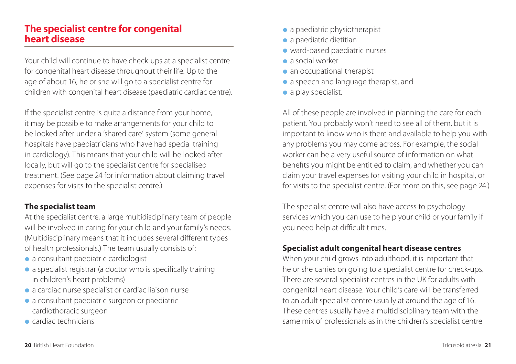## **The specialist centre for congenital heart disease**

Your child will continue to have check-ups at a specialist centre for congenital heart disease throughout their life. Up to the age of about 16, he or she will go to a specialist centre for children with congenital heart disease (paediatric cardiac centre).

If the specialist centre is quite a distance from your home, it may be possible to make arrangements for your child to be looked after under a 'shared care' system (some general hospitals have paediatricians who have had special training in cardiology). This means that your child will be looked after locally, but will go to the specialist centre for specialised treatment. (See page 24 for information about claiming travel expenses for visits to the specialist centre.)

#### **The specialist team**

At the specialist centre, a large multidisciplinary team of people will be involved in caring for your child and your family's needs. (Multidisciplinary means that it includes several different types of health professionals.) The team usually consists of:

- **•** a consultant paediatric cardiologist
- **•** a specialist registrar (a doctor who is specifically training in children's heart problems)
- **•** a cardiac nurse specialist or cardiac liaison nurse
- **•** a consultant paediatric surgeon or paediatric cardiothoracic surgeon
- **•** cardiac technicians
- **•** a paediatric physiotherapist
- **•** a paediatric dietitian
- **•** ward-based paediatric nurses
- **•** a social worker
- **•** an occupational therapist
- **•** a speech and language therapist, and
- **•** a play specialist.

All of these people are involved in planning the care for each patient. You probably won't need to see all of them, but it is important to know who is there and available to help you with any problems you may come across. For example, the social worker can be a very useful source of information on what benefits you might be entitled to claim, and whether you can claim your travel expenses for visiting your child in hospital, or for visits to the specialist centre. (For more on this, see page 24.)

The specialist centre will also have access to psychology services which you can use to help your child or your family if you need help at difficult times.

### **Specialist adult congenital heart disease centres**

When your child grows into adulthood, it is important that he or she carries on going to a specialist centre for check-ups. There are several specialist centres in the UK for adults with congenital heart disease. Your child's care will be transferred to an adult specialist centre usually at around the age of 16. These centres usually have a multidisciplinary team with the same mix of professionals as in the children's specialist centre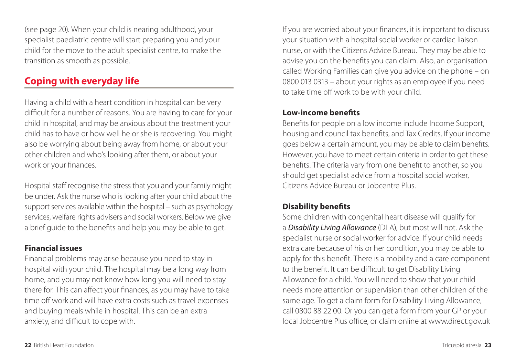(see page 20). When your child is nearing adulthood, your specialist paediatric centre will start preparing you and your child for the move to the adult specialist centre, to make the transition as smooth as possible.

## **Coping with everyday life**

Having a child with a heart condition in hospital can be very difficult for a number of reasons. You are having to care for your child in hospital, and may be anxious about the treatment your child has to have or how well he or she is recovering. You might also be worrying about being away from home, or about your other children and who's looking after them, or about your work or your finances.

Hospital staff recognise the stress that you and your family might be under. Ask the nurse who is looking after your child about the support services available within the hospital – such as psychology services, welfare rights advisers and social workers. Below we give a brief guide to the benefits and help you may be able to get.

### **Financial issues**

Financial problems may arise because you need to stay in hospital with your child. The hospital may be a long way from home, and you may not know how long you will need to stay there for. This can affect your finances, as you may have to take time off work and will have extra costs such as travel expenses and buying meals while in hospital. This can be an extra anxiety, and difficult to cope with.

If you are worried about your finances, it is important to discuss your situation with a hospital social worker or cardiac liaison nurse, or with the Citizens Advice Bureau. They may be able to advise you on the benefits you can claim. Also, an organisation called Working Families can give you advice on the phone – on 0800 013 0313 – about your rights as an employee if you need to take time off work to be with your child.

#### **Low-income benefits**

Benefits for people on a low income include Income Support, housing and council tax benefits, and Tax Credits. If your income goes below a certain amount, you may be able to claim benefits. However, you have to meet certain criteria in order to get these benefits. The criteria vary from one benefit to another, so you should get specialist advice from a hospital social worker, Citizens Advice Bureau or Jobcentre Plus.

### **Disability benefits**

Some children with congenital heart disease will qualify for a *Disability Living Allowance* (DLA), but most will not. Ask the specialist nurse or social worker for advice. If your child needs extra care because of his or her condition, you may be able to apply for this benefit. There is a mobility and a care component to the benefit. It can be difficult to get Disability Living Allowance for a child. You will need to show that your child needs more attention or supervision than other children of the same age. To get a claim form for Disability Living Allowance, call 0800 88 22 00. Or you can get a form from your GP or your local Jobcentre Plus office, or claim online at www.direct.gov.uk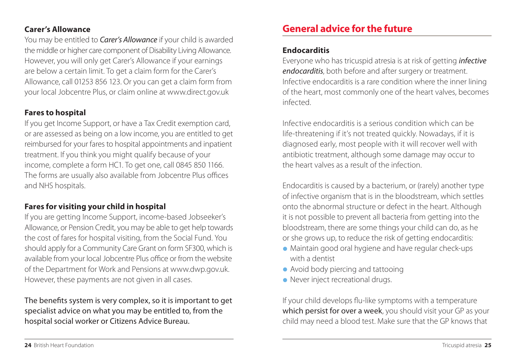#### **Carer's Allowance**

You may be entitled to *Carer's Allowance* if your child is awarded the middle or higher care component of Disability Living Allowance. However, you will only get Carer's Allowance if your earnings are below a certain limit. To get a claim form for the Carer's Allowance, call 01253 856 123. Or you can get a claim form from your local Jobcentre Plus, or claim online at www.direct.gov.uk

### **Fares to hospital**

If you get Income Support, or have a Tax Credit exemption card, or are assessed as being on a low income, you are entitled to get reimbursed for your fares to hospital appointments and inpatient treatment. If you think you might qualify because of your income, complete a form HC1. To get one, call 0845 850 1166. The forms are usually also available from Jobcentre Plus offices and NHS hospitals.

### **Fares for visiting your child in hospital**

If you are getting Income Support, income-based Jobseeker's Allowance, or Pension Credit, you may be able to get help towards the cost of fares for hospital visiting, from the Social Fund. You should apply for a Community Care Grant on form SF300, which is available from your local Jobcentre Plus office or from the website of the Department for Work and Pensions at www.dwp.gov.uk. However, these payments are not given in all cases.

The benefits system is very complex, so it is important to get specialist advice on what you may be entitled to, from the hospital social worker or Citizens Advice Bureau.

# **General advice for the future**

#### **Endocarditis**

Everyone who has tricuspid atresia is at risk of getting *infective endocarditis*, both before and after surgery or treatment. Infective endocarditis is a rare condition where the inner lining of the heart, most commonly one of the heart valves, becomes infected.

Infective endocarditis is a serious condition which can be life-threatening if it's not treated quickly. Nowadays, if it is diagnosed early, most people with it will recover well with antibiotic treatment, although some damage may occur to the heart valves as a result of the infection.

Endocarditis is caused by a bacterium, or (rarely) another type of infective organism that is in the bloodstream, which settles onto the abnormal structure or defect in the heart. Although it is not possible to prevent all bacteria from getting into the bloodstream, there are some things your child can do, as he or she grows up, to reduce the risk of getting endocarditis:

- **•** Maintain good oral hygiene and have regular check-ups with a dentist
- **•** Avoid body piercing and tattooing
- **•** Never inject recreational drugs.

If your child develops flu-like symptoms with a temperature which persist for over a week, you should visit your GP as your child may need a blood test. Make sure that the GP knows that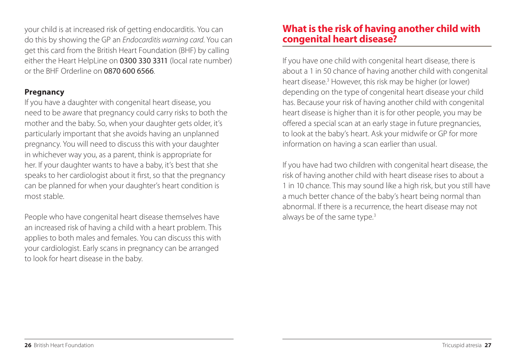your child is at increased risk of getting endocarditis. You can do this by showing the GP an *Endocarditis warning card*. You can get this card from the British Heart Foundation (BHF) by calling either the Heart HelpLine on 0300 330 3311 (local rate number) or the BHF Orderline on 0870 600 6566.

## **Pregnancy**

If you have a daughter with congenital heart disease, you need to be aware that pregnancy could carry risks to both the mother and the baby. So, when your daughter gets older, it's particularly important that she avoids having an unplanned pregnancy. You will need to discuss this with your daughter in whichever way you, as a parent, think is appropriate for her. If your daughter wants to have a baby, it's best that she speaks to her cardiologist about it first, so that the pregnancy can be planned for when your daughter's heart condition is most stable.

People who have congenital heart disease themselves have an increased risk of having a child with a heart problem. This applies to both males and females. You can discuss this with your cardiologist. Early scans in pregnancy can be arranged to look for heart disease in the baby.

## **What is the risk of having another child with congenital heart disease?**

If you have one child with congenital heart disease, there is about a 1 in 50 chance of having another child with congenital heart disease.3 However, this risk may be higher (or lower) depending on the type of congenital heart disease your child has. Because your risk of having another child with congenital heart disease is higher than it is for other people, you may be offered a special scan at an early stage in future pregnancies, to look at the baby's heart. Ask your midwife or GP for more information on having a scan earlier than usual.

If you have had two children with congenital heart disease, the risk of having another child with heart disease rises to about a 1 in 10 chance. This may sound like a high risk, but you still have a much better chance of the baby's heart being normal than abnormal. If there is a recurrence, the heart disease may not always be of the same type.<sup>3</sup>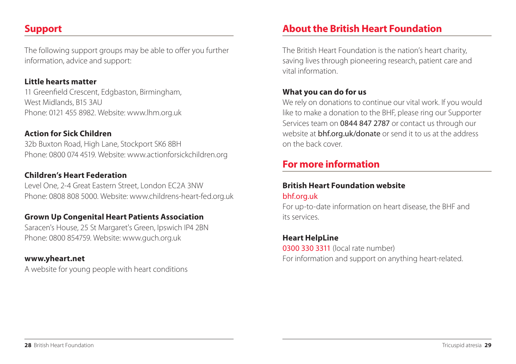# **Support**

The following support groups may be able to offer you further information, advice and support:

#### **Little hearts matter**

11 Greenfield Crescent, Edgbaston, Birmingham, West Midlands, B15 3AU Phone: 0121 455 8982. Website: www.lhm.org.uk

## **Action for Sick Children**

32b Buxton Road, High Lane, Stockport SK6 8BH Phone: 0800 074 4519. Website: www.actionforsickchildren.org

## **Children's Heart Federation**

Level One, 2-4 Great Eastern Street, London EC2A 3NW Phone: 0808 808 5000. Website: www.childrens-heart-fed.org.uk

### **Grown Up Congenital Heart Patients Association**

Saracen's House, 25 St Margaret's Green, Ipswich IP4 2BN Phone: 0800 854759. Website: www.guch.org.uk

#### **www.yheart.net**

A website for young people with heart conditions

# **About the British Heart Foundation**

The British Heart Foundation is the nation's heart charity, saving lives through pioneering research, patient care and vital information.

## **What you can do for us**

We rely on donations to continue our vital work. If you would like to make a donation to the BHF, please ring our Supporter Services team on 0844 847 2787 or contact us through our website at **bhf.org.uk/donate** or send it to us at the address on the back cover.

## **For more information**

#### **British Heart Foundation website** bhf.org.uk

For up-to-date information on heart disease, the BHF and its services.

### **Heart HelpLine**

0300 330 3311 (local rate number) For information and support on anything heart-related.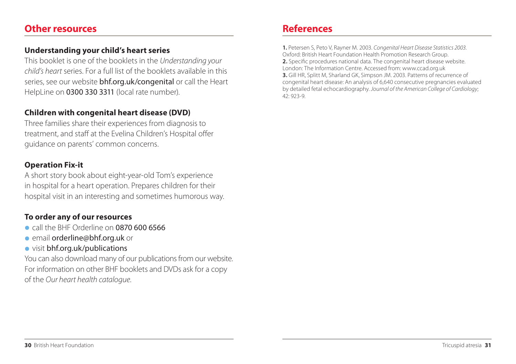## **Other resources**

#### **Understanding your child's heart series**

This booklet is one of the booklets in the *Understanding your child's heart* series. For a full list of the booklets available in this series, see our website bhf.org.uk/congenital or call the Heart HelpLine on 0300 330 3311 (local rate number).

#### **Children with congenital heart disease (DVD)**

Three families share their experiences from diagnosis to treatment, and staff at the Evelina Children's Hospital offer guidance on parents' common concerns.

#### **Operation Fix-it**

A short story book about eight-year-old Tom's experience in hospital for a heart operation. Prepares children for their hospital visit in an interesting and sometimes humorous way.

### **To order any of our resources**

- **•** call the BHF Orderline on 0870 600 6566
- **•** email orderline@bhf.org.uk or
- **•** visit bhf.org.uk/publications

You can also download many of our publications from our website. For information on other BHF booklets and DVDs ask for a copy of the *Our heart health catalogue*.

# **References**

**1.** Petersen S, Peto V, Rayner M. 2003. *Congenital Heart Disease Statistics 2003*. Oxford: British Heart Foundation Health Promotion Research Group. **2.** Specific procedures national data. The congenital heart disease website. London: The Information Centre. Accessed from: www.ccad.org.uk **3.** Gill HR, Splitt M, Sharland GK, Simpson JM. 2003. Patterns of recurrence of congenital heart disease: An analysis of 6,640 consecutive pregnancies evaluated by detailed fetal echocardiography. *Journal of the American College of Cardiology*; 42: 923-9.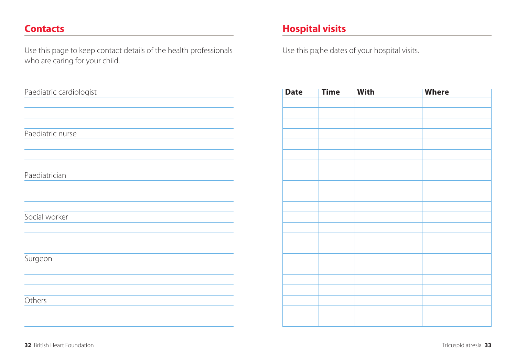## **Contacts**

Use this page to keep contact details of the health professionals who are caring for your child.

| Paediatric cardiologist |  |
|-------------------------|--|
|                         |  |
|                         |  |
|                         |  |
| Paediatric nurse        |  |
|                         |  |
|                         |  |
|                         |  |
| Paediatrician           |  |
|                         |  |
|                         |  |
|                         |  |
| Social worker           |  |
|                         |  |
|                         |  |
| Surgeon                 |  |
|                         |  |
|                         |  |
|                         |  |
| Others                  |  |
|                         |  |
|                         |  |
|                         |  |

# **Hospital visits**

Use this pa;he dates of your hospital visits.

| Date | <b>Time</b> | With | <b>Where</b> |
|------|-------------|------|--------------|
|      |             |      |              |
|      |             |      |              |
|      |             |      |              |
|      |             |      |              |
|      |             |      |              |
|      |             |      |              |
|      |             |      |              |
|      |             |      |              |
|      |             |      |              |
|      |             |      |              |
|      |             |      |              |
|      |             |      |              |
|      |             |      |              |
|      |             |      |              |
|      |             |      |              |
|      |             |      |              |
|      |             |      |              |
|      |             |      |              |
|      |             |      |              |
|      |             |      |              |
|      |             |      |              |
|      |             |      |              |
|      |             |      |              |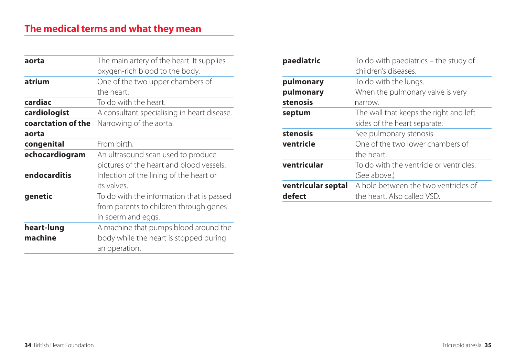| aorta              | The main artery of the heart. It supplies   |
|--------------------|---------------------------------------------|
|                    | oxygen-rich blood to the body.              |
| atrium             | One of the two upper chambers of            |
|                    | the heart.                                  |
| cardiac            | To do with the heart.                       |
| cardiologist       | A consultant specialising in heart disease. |
| coarctation of the | Narrowing of the aorta.                     |
| aorta              |                                             |
| congenital         | From birth.                                 |
| echocardiogram     | An ultrasound scan used to produce          |
|                    | pictures of the heart and blood vessels.    |
| endocarditis       | Infection of the lining of the heart or     |
|                    | its valves.                                 |
| genetic            | To do with the information that is passed   |
|                    | from parents to children through genes      |
|                    | in sperm and eggs.                          |
| heart-lung         | A machine that pumps blood around the       |
| machine            | body while the heart is stopped during      |
|                    | an operation.                               |

| paediatric         | To do with paediatrics – the study of<br>children's diseases. |
|--------------------|---------------------------------------------------------------|
| pulmonary          | To do with the lungs.                                         |
| pulmonary          | When the pulmonary valve is very                              |
| stenosis           | narrow.                                                       |
| septum             | The wall that keeps the right and left                        |
|                    | sides of the heart separate.                                  |
| stenosis           | See pulmonary stenosis.                                       |
| ventricle          | One of the two lower chambers of                              |
|                    | the heart.                                                    |
| ventricular        | To do with the ventricle or ventricles.                       |
|                    | (See above.)                                                  |
| ventricular septal | A hole between the two ventricles of                          |
| defect             | the heart. Also called VSD.                                   |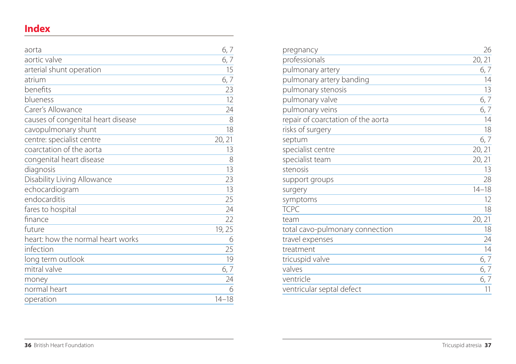# **Index**

| aorta                              | 6,7       |
|------------------------------------|-----------|
| aortic valve                       | 6,7       |
| arterial shunt operation           | 15        |
| atrium                             | 6,7       |
| benefits                           | 23        |
| blueness                           | 12        |
| Carer's Allowance                  | 24        |
| causes of congenital heart disease | 8         |
| cavopulmonary shunt                | 18        |
| centre: specialist centre          | 20, 21    |
| coarctation of the aorta           | 13        |
| congenital heart disease           | 8         |
| diagnosis                          | 13        |
| Disability Living Allowance        | 23        |
| echocardiogram                     | 13        |
| endocarditis                       | 25        |
| fares to hospital                  | 24        |
| finance                            | 22        |
| future                             | 19, 25    |
| heart: how the normal heart works  | 6         |
| infection                          | 25        |
| long term outlook                  | 19        |
| mitral valve                       | 6,7       |
| money                              | 24        |
| normal heart                       | 6         |
| operation                          | $14 - 18$ |

| pregnancy                          | 26        |
|------------------------------------|-----------|
| professionals                      | 20, 21    |
| pulmonary artery                   | 6, 7      |
| pulmonary artery banding           | 14        |
| pulmonary stenosis                 | 13        |
| pulmonary valve                    | 6,7       |
| pulmonary veins                    | 6,7       |
| repair of coarctation of the aorta | 14        |
| risks of surgery                   | 18        |
| septum                             | 6,7       |
| specialist centre                  | 20, 21    |
| specialist team                    | 20, 21    |
| stenosis                           | 13        |
| support groups                     | 28        |
| surgery                            | $14 - 18$ |
| symptoms                           | 12        |
| <b>TCPC</b>                        | 18        |
| team                               | 20, 21    |
| total cavo-pulmonary connection    | 18        |
| travel expenses                    | 24        |
| treatment                          | 14        |
| tricuspid valve                    | 6,7       |
| valves                             | 6,7       |
| ventricle                          | 6,7       |
| ventricular septal defect          | 11        |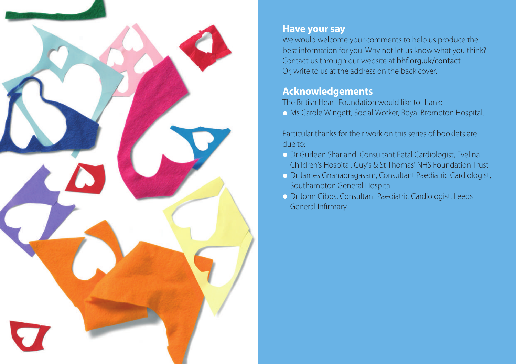

## **Have your say**

We would welcome your comments to help us produce the best information for you. Why not let us know what you think? Contact us through our website at bhf.org.uk/contact Or, write to us at the address on the back cover.

# **Acknowledgements**

The British Heart Foundation would like to thank:

**•** Ms Carole Wingett, Social Worker, Royal Brompton Hospital.

Particular thanks for their work on this series of booklets are due to:

- **•** Dr Gurleen Sharland, Consultant Fetal Cardiologist, Evelina Children's Hospital, Guy's & St Thomas' NHS Foundation Trust
- **•** Dr James Gnanapragasam, Consultant Paediatric Cardiologist, Southampton General Hospital
- **•** Dr John Gibbs, Consultant Paediatric Cardiologist, Leeds General Infirmary.